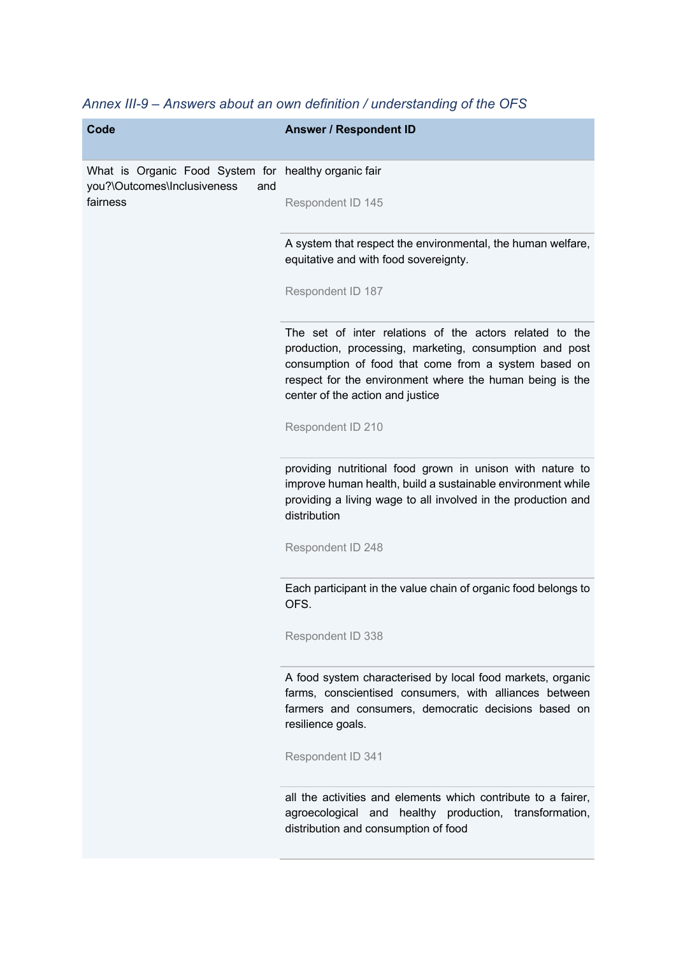| <b>Code</b>                                                                                            | <b>Answer / Respondent ID</b>                                                                                                                                                                                                                                              |
|--------------------------------------------------------------------------------------------------------|----------------------------------------------------------------------------------------------------------------------------------------------------------------------------------------------------------------------------------------------------------------------------|
| What is Organic Food System for healthy organic fair<br>you?\Outcomes\Inclusiveness<br>and<br>fairness |                                                                                                                                                                                                                                                                            |
|                                                                                                        | Respondent ID 145                                                                                                                                                                                                                                                          |
|                                                                                                        | A system that respect the environmental, the human welfare,<br>equitative and with food sovereignty.                                                                                                                                                                       |
|                                                                                                        | Respondent ID 187                                                                                                                                                                                                                                                          |
|                                                                                                        | The set of inter relations of the actors related to the<br>production, processing, marketing, consumption and post<br>consumption of food that come from a system based on<br>respect for the environment where the human being is the<br>center of the action and justice |
|                                                                                                        | Respondent ID 210                                                                                                                                                                                                                                                          |
|                                                                                                        | providing nutritional food grown in unison with nature to<br>improve human health, build a sustainable environment while<br>providing a living wage to all involved in the production and<br>distribution                                                                  |
|                                                                                                        | Respondent ID 248                                                                                                                                                                                                                                                          |
|                                                                                                        | Each participant in the value chain of organic food belongs to<br>OFS.                                                                                                                                                                                                     |
|                                                                                                        | Respondent ID 338                                                                                                                                                                                                                                                          |
|                                                                                                        | A food system characterised by local food markets, organic<br>farms, conscientised consumers, with alliances between<br>farmers and consumers, democratic decisions based on<br>resilience goals.                                                                          |
|                                                                                                        | Respondent ID 341                                                                                                                                                                                                                                                          |
|                                                                                                        | all the activities and elements which contribute to a fairer,<br>agroecological and healthy production, transformation,<br>distribution and consumption of food                                                                                                            |
|                                                                                                        |                                                                                                                                                                                                                                                                            |

*Annex III-9 – Answers about an own definition / understanding of the OFS*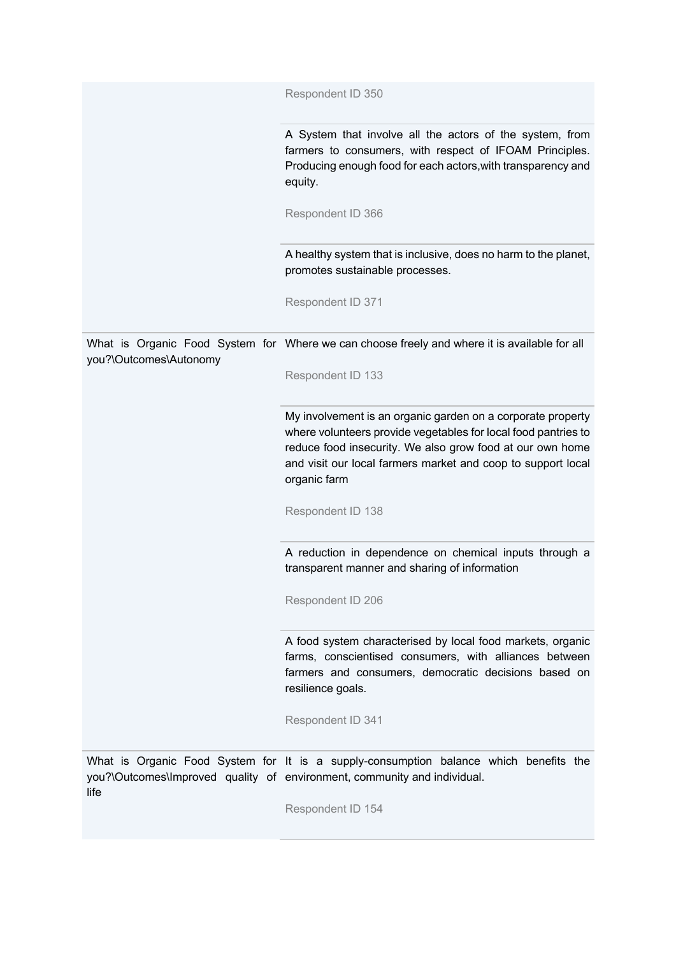|                        | Respondent ID 350                                                                                                                                                                                                                                                          |
|------------------------|----------------------------------------------------------------------------------------------------------------------------------------------------------------------------------------------------------------------------------------------------------------------------|
|                        | A System that involve all the actors of the system, from<br>farmers to consumers, with respect of IFOAM Principles.<br>Producing enough food for each actors, with transparency and<br>equity.                                                                             |
|                        | Respondent ID 366                                                                                                                                                                                                                                                          |
|                        | A healthy system that is inclusive, does no harm to the planet,<br>promotes sustainable processes.                                                                                                                                                                         |
|                        | Respondent ID 371                                                                                                                                                                                                                                                          |
| you?\Outcomes\Autonomy | What is Organic Food System for Where we can choose freely and where it is available for all                                                                                                                                                                               |
|                        | Respondent ID 133                                                                                                                                                                                                                                                          |
|                        | My involvement is an organic garden on a corporate property<br>where volunteers provide vegetables for local food pantries to<br>reduce food insecurity. We also grow food at our own home<br>and visit our local farmers market and coop to support local<br>organic farm |
|                        | Respondent ID 138                                                                                                                                                                                                                                                          |
|                        | A reduction in dependence on chemical inputs through a<br>transparent manner and sharing of information                                                                                                                                                                    |
|                        | Respondent ID 206                                                                                                                                                                                                                                                          |
|                        | A food system characterised by local food markets, organic<br>farms, conscientised consumers, with alliances between<br>farmers and consumers, democratic decisions based on<br>resilience goals.                                                                          |
|                        | Respondent ID 341                                                                                                                                                                                                                                                          |
| life                   | What is Organic Food System for It is a supply-consumption balance which benefits the<br>you?\Outcomes\Improved quality of environment, community and individual.                                                                                                          |
|                        | Respondent ID 154                                                                                                                                                                                                                                                          |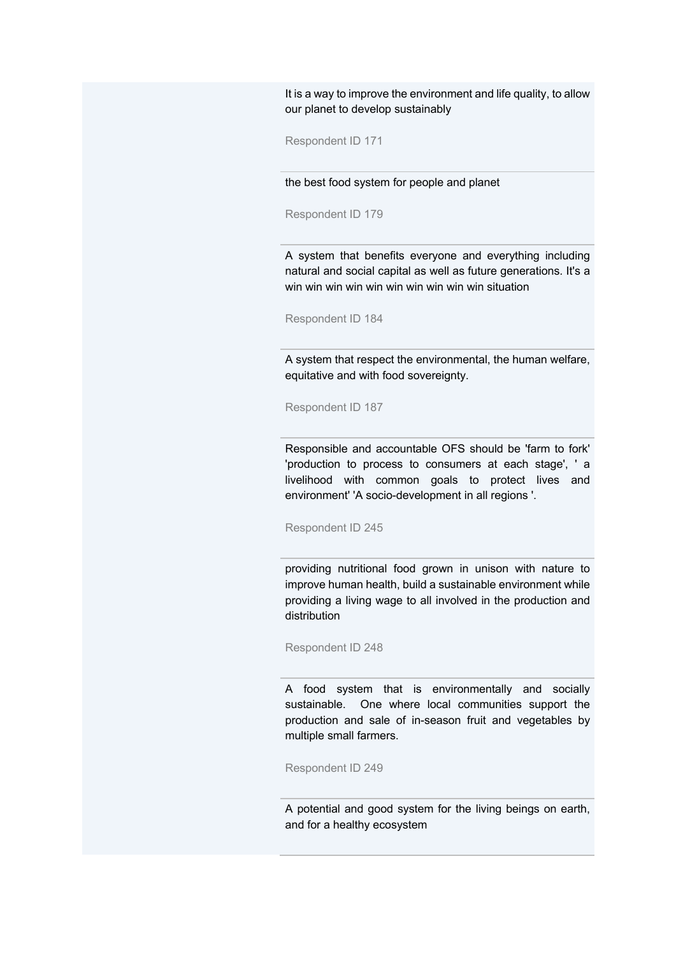It is a way to improve the environment and life quality, to allow our planet to develop sustainably

Respondent ID 171

the best food system for people and planet

Respondent ID 179

A system that benefits everyone and everything including natural and social capital as well as future generations. It's a win win win win win win win win win win situation

Respondent ID 184

A system that respect the environmental, the human welfare, equitative and with food sovereignty.

Respondent ID 187

Responsible and accountable OFS should be 'farm to fork' 'production to process to consumers at each stage', ' a livelihood with common goals to protect lives and environment' 'A socio-development in all regions '.

Respondent ID 245

providing nutritional food grown in unison with nature to improve human health, build a sustainable environment while providing a living wage to all involved in the production and distribution

Respondent ID 248

A food system that is environmentally and socially sustainable. One where local communities support the production and sale of in-season fruit and vegetables by multiple small farmers.

Respondent ID 249

A potential and good system for the living beings on earth, and for a healthy ecosystem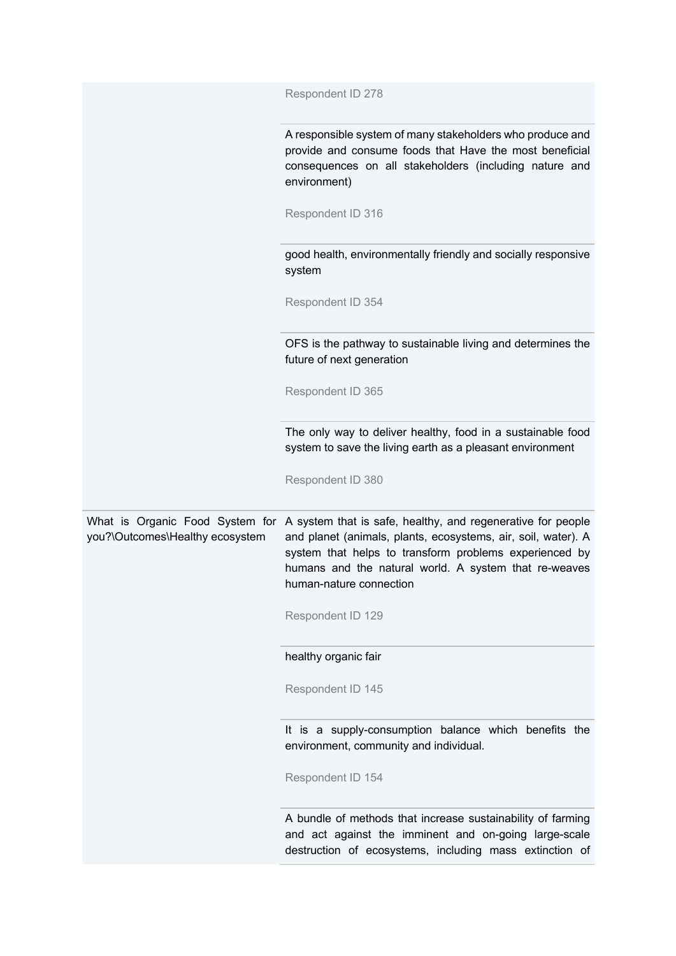|                                 | Respondent ID 278                                                                                                                                                                                                                                                                                          |
|---------------------------------|------------------------------------------------------------------------------------------------------------------------------------------------------------------------------------------------------------------------------------------------------------------------------------------------------------|
|                                 | A responsible system of many stakeholders who produce and<br>provide and consume foods that Have the most beneficial<br>consequences on all stakeholders (including nature and<br>environment)                                                                                                             |
|                                 | Respondent ID 316                                                                                                                                                                                                                                                                                          |
|                                 | good health, environmentally friendly and socially responsive<br>system                                                                                                                                                                                                                                    |
|                                 | Respondent ID 354                                                                                                                                                                                                                                                                                          |
|                                 | OFS is the pathway to sustainable living and determines the<br>future of next generation                                                                                                                                                                                                                   |
|                                 | Respondent ID 365                                                                                                                                                                                                                                                                                          |
|                                 | The only way to deliver healthy, food in a sustainable food<br>system to save the living earth as a pleasant environment                                                                                                                                                                                   |
|                                 | Respondent ID 380                                                                                                                                                                                                                                                                                          |
| you?\Outcomes\Healthy ecosystem | What is Organic Food System for A system that is safe, healthy, and regenerative for people<br>and planet (animals, plants, ecosystems, air, soil, water). A<br>system that helps to transform problems experienced by<br>humans and the natural world. A system that re-weaves<br>human-nature connection |
|                                 | Respondent ID 129                                                                                                                                                                                                                                                                                          |
|                                 | healthy organic fair                                                                                                                                                                                                                                                                                       |
|                                 | Respondent ID 145                                                                                                                                                                                                                                                                                          |
|                                 | It is a supply-consumption balance which benefits the<br>environment, community and individual.                                                                                                                                                                                                            |
|                                 | Respondent ID 154                                                                                                                                                                                                                                                                                          |
|                                 | A bundle of methods that increase sustainability of farming<br>and act against the imminent and on-going large-scale<br>destruction of ecosystems, including mass extinction of                                                                                                                            |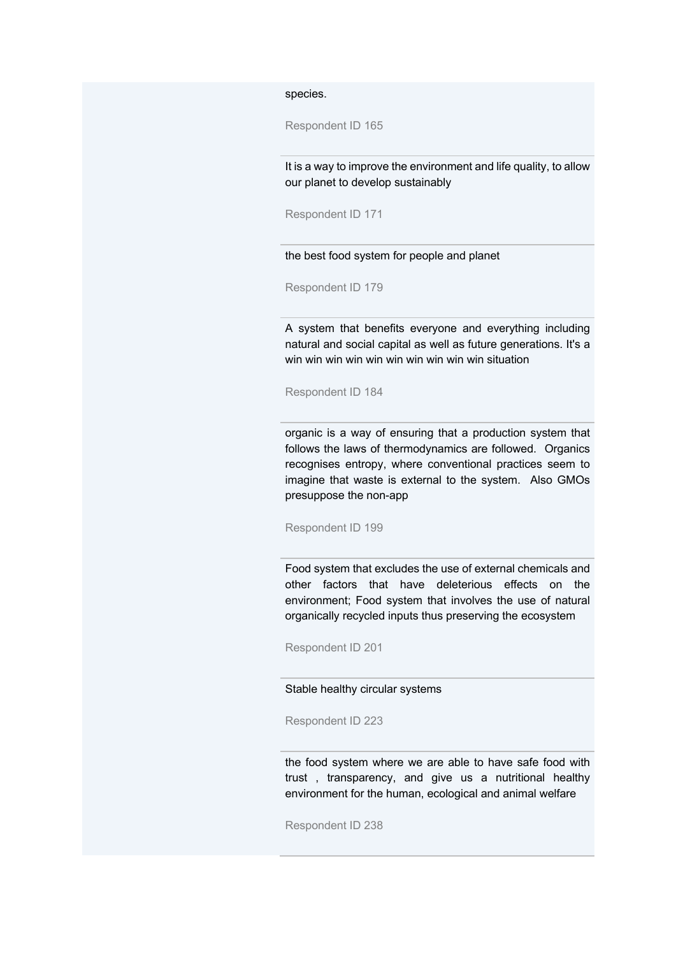species.

Respondent ID 165

It is a way to improve the environment and life quality, to allow our planet to develop sustainably

Respondent ID 171

the best food system for people and planet

Respondent ID 179

A system that benefits everyone and everything including natural and social capital as well as future generations. It's a win win win win win win win win win win situation

Respondent ID 184

organic is a way of ensuring that a production system that follows the laws of thermodynamics are followed. Organics recognises entropy, where conventional practices seem to imagine that waste is external to the system. Also GMOs presuppose the non-app

Respondent ID 199

Food system that excludes the use of external chemicals and other factors that have deleterious effects on the environment; Food system that involves the use of natural organically recycled inputs thus preserving the ecosystem

Respondent ID 201

Stable healthy circular systems

Respondent ID 223

the food system where we are able to have safe food with trust , transparency, and give us a nutritional healthy environment for the human, ecological and animal welfare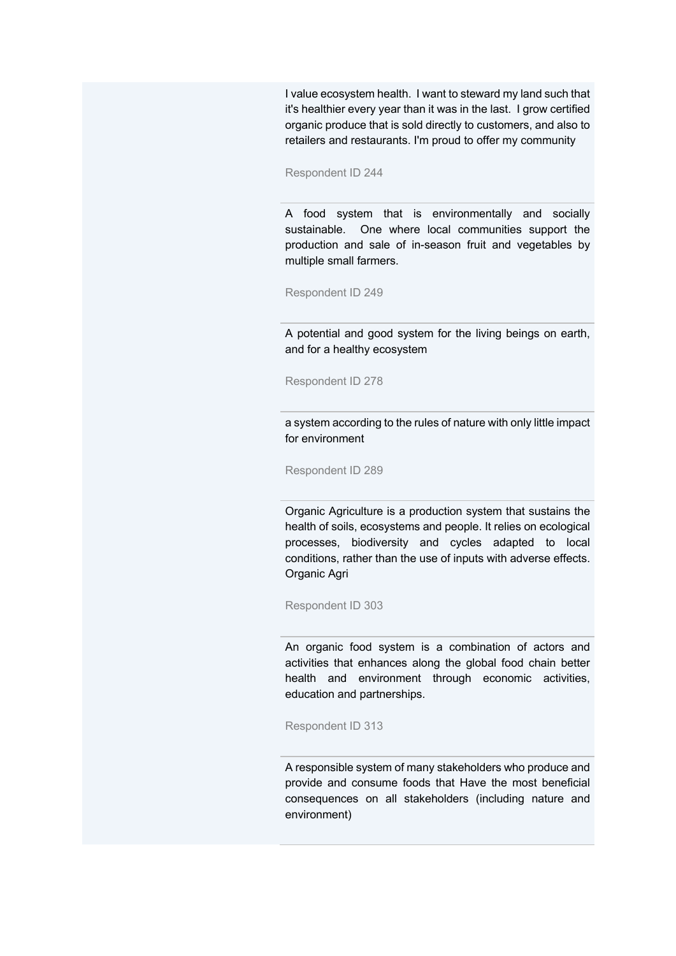I value ecosystem health. I want to steward my land such that it's healthier every year than it was in the last. I grow certified organic produce that is sold directly to customers, and also to retailers and restaurants. I'm proud to offer my community

Respondent ID 244

A food system that is environmentally and socially sustainable. One where local communities support the production and sale of in-season fruit and vegetables by multiple small farmers.

Respondent ID 249

A potential and good system for the living beings on earth, and for a healthy ecosystem

Respondent ID 278

a system according to the rules of nature with only little impact for environment

Respondent ID 289

Organic Agriculture is a production system that sustains the health of soils, ecosystems and people. It relies on ecological processes, biodiversity and cycles adapted to local conditions, rather than the use of inputs with adverse effects. Organic Agri

Respondent ID 303

An organic food system is a combination of actors and activities that enhances along the global food chain better health and environment through economic activities, education and partnerships.

Respondent ID 313

A responsible system of many stakeholders who produce and provide and consume foods that Have the most beneficial consequences on all stakeholders (including nature and environment)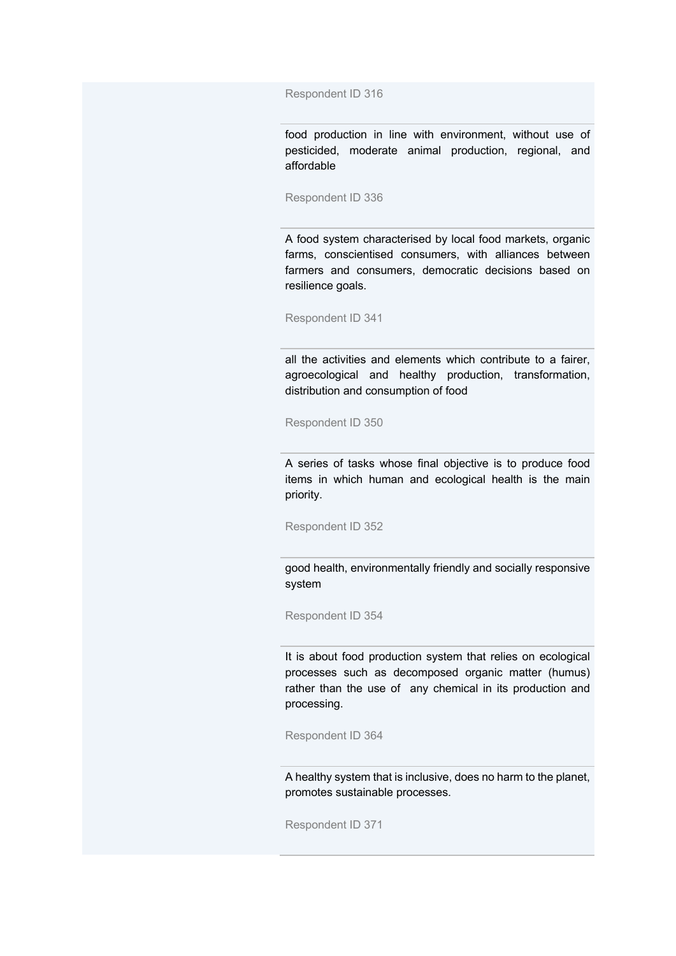Respondent ID 316

food production in line with environment, without use of pesticided, moderate animal production, regional, and affordable

Respondent ID 336

A food system characterised by local food markets, organic farms, conscientised consumers, with alliances between farmers and consumers, democratic decisions based on resilience goals.

Respondent ID 341

all the activities and elements which contribute to a fairer, agroecological and healthy production, transformation, distribution and consumption of food

Respondent ID 350

A series of tasks whose final objective is to produce food items in which human and ecological health is the main priority.

Respondent ID 352

good health, environmentally friendly and socially responsive system

Respondent ID 354

It is about food production system that relies on ecological processes such as decomposed organic matter (humus) rather than the use of any chemical in its production and processing.

Respondent ID 364

A healthy system that is inclusive, does no harm to the planet, promotes sustainable processes.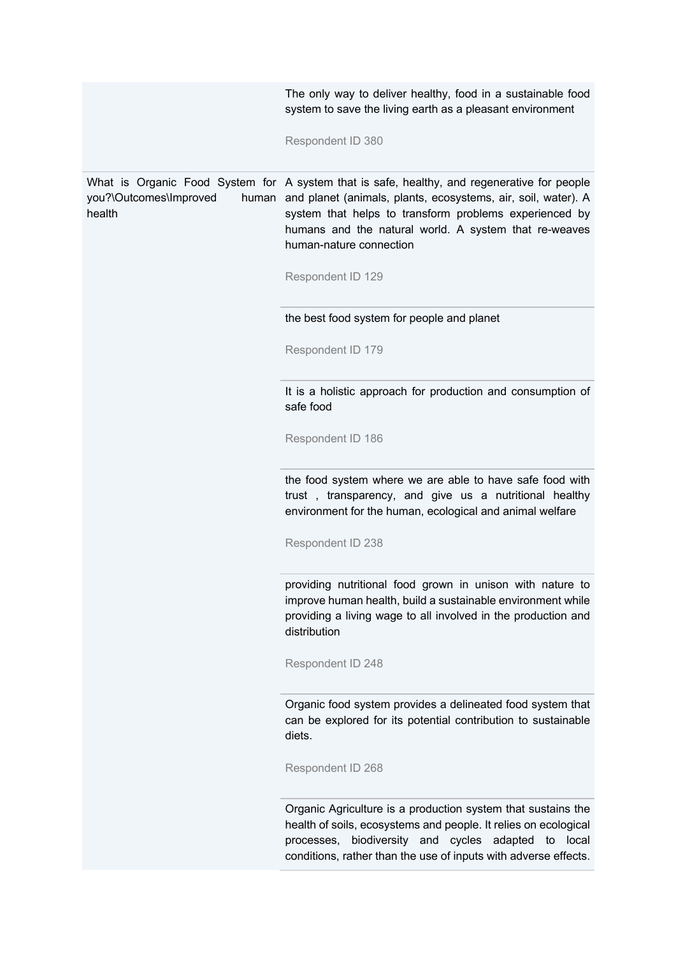|                                           | The only way to deliver healthy, food in a sustainable food<br>system to save the living earth as a pleasant environment                                                                                                                                                                                   |
|-------------------------------------------|------------------------------------------------------------------------------------------------------------------------------------------------------------------------------------------------------------------------------------------------------------------------------------------------------------|
|                                           | Respondent ID 380                                                                                                                                                                                                                                                                                          |
| you?\Outcomes\Improved<br>human<br>health | What is Organic Food System for A system that is safe, healthy, and regenerative for people<br>and planet (animals, plants, ecosystems, air, soil, water). A<br>system that helps to transform problems experienced by<br>humans and the natural world. A system that re-weaves<br>human-nature connection |
|                                           | Respondent ID 129                                                                                                                                                                                                                                                                                          |
|                                           | the best food system for people and planet                                                                                                                                                                                                                                                                 |
|                                           | Respondent ID 179                                                                                                                                                                                                                                                                                          |
|                                           | It is a holistic approach for production and consumption of<br>safe food                                                                                                                                                                                                                                   |
|                                           | Respondent ID 186                                                                                                                                                                                                                                                                                          |
|                                           | the food system where we are able to have safe food with<br>trust, transparency, and give us a nutritional healthy<br>environment for the human, ecological and animal welfare                                                                                                                             |
|                                           | Respondent ID 238                                                                                                                                                                                                                                                                                          |
|                                           | providing nutritional food grown in unison with nature to<br>improve human health, build a sustainable environment while<br>providing a living wage to all involved in the production and<br>distribution                                                                                                  |
|                                           | Respondent ID 248                                                                                                                                                                                                                                                                                          |
|                                           | Organic food system provides a delineated food system that<br>can be explored for its potential contribution to sustainable<br>diets.                                                                                                                                                                      |
|                                           | Respondent ID 268                                                                                                                                                                                                                                                                                          |
|                                           | Organic Agriculture is a production system that sustains the<br>health of soils, ecosystems and people. It relies on ecological<br>biodiversity and cycles<br>adapted<br>local<br>processes,<br>to<br>conditions, rather than the use of inputs with adverse effects.                                      |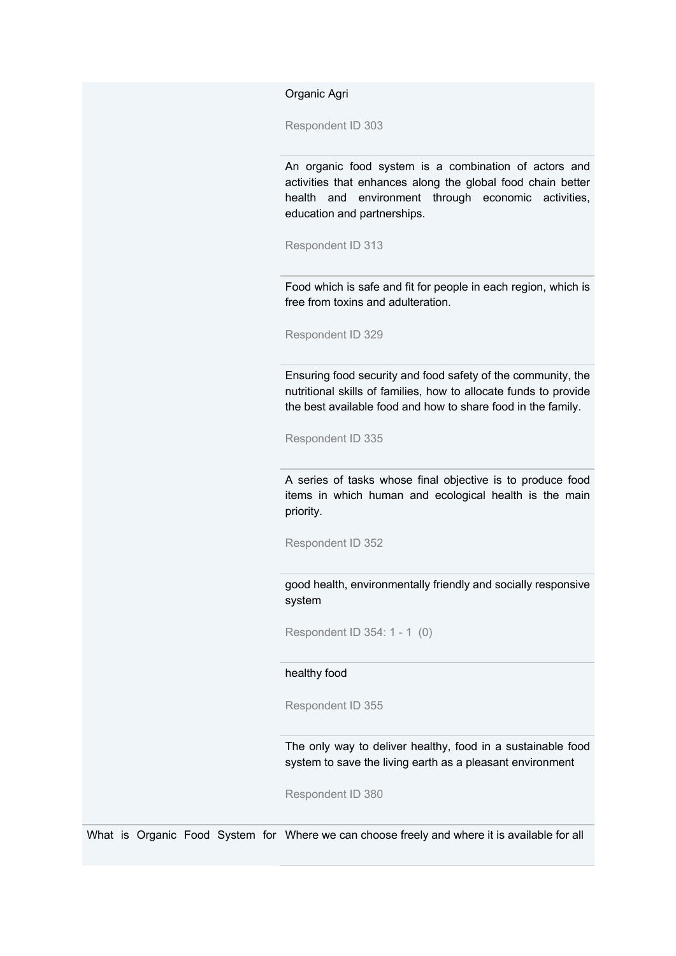Organic Agri

Respondent ID 303

An organic food system is a combination of actors and activities that enhances along the global food chain better health and environment through economic activities, education and partnerships.

Respondent ID 313

Food which is safe and fit for people in each region, which is free from toxins and adulteration.

Respondent ID 329

Ensuring food security and food safety of the community, the nutritional skills of families, how to allocate funds to provide the best available food and how to share food in the family.

Respondent ID 335

A series of tasks whose final objective is to produce food items in which human and ecological health is the main priority.

Respondent ID 352

good health, environmentally friendly and socially responsive system

Respondent ID 354: 1 - 1 (0)

healthy food

Respondent ID 355

The only way to deliver healthy, food in a sustainable food system to save the living earth as a pleasant environment

Respondent ID 380

What is Organic Food System for Where we can choose freely and where it is available for all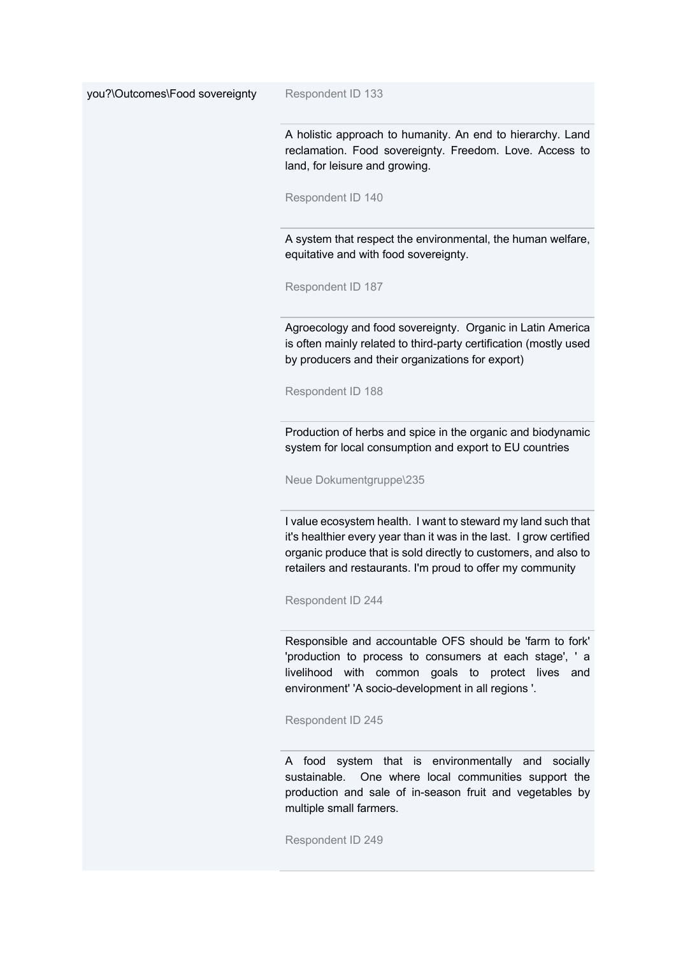you?\Outcomes\Food sovereignty Respondent ID 133

A holistic approach to humanity. An end to hierarchy. Land reclamation. Food sovereignty. Freedom. Love. Access to land, for leisure and growing.

Respondent ID 140

A system that respect the environmental, the human welfare, equitative and with food sovereignty.

Respondent ID 187

Agroecology and food sovereignty. Organic in Latin America is often mainly related to third-party certification (mostly used by producers and their organizations for export)

Respondent ID 188

Production of herbs and spice in the organic and biodynamic system for local consumption and export to EU countries

Neue Dokumentgruppe\235

I value ecosystem health. I want to steward my land such that it's healthier every year than it was in the last. I grow certified organic produce that is sold directly to customers, and also to retailers and restaurants. I'm proud to offer my community

Respondent ID 244

Responsible and accountable OFS should be 'farm to fork' 'production to process to consumers at each stage', ' a livelihood with common goals to protect lives and environment' 'A socio-development in all regions '.

Respondent ID 245

A food system that is environmentally and socially sustainable. One where local communities support the production and sale of in-season fruit and vegetables by multiple small farmers.